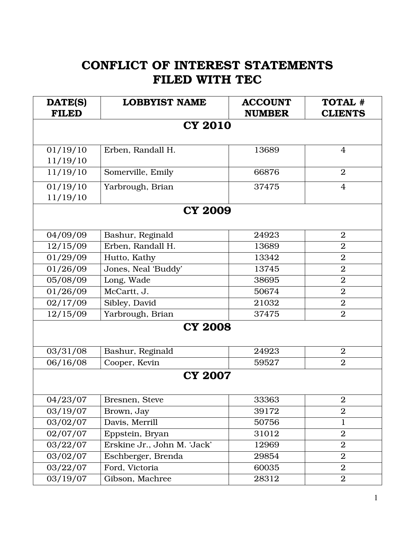## CONFLICT OF INTEREST STATEMENTS FILED WITH TEC

| DATE(S)      | <b>LOBBYIST NAME</b>        | <b>ACCOUNT</b> | TOTAL #          |  |
|--------------|-----------------------------|----------------|------------------|--|
| <b>FILED</b> |                             | <b>NUMBER</b>  | <b>CLIENTS</b>   |  |
|              | <b>CY 2010</b>              |                |                  |  |
|              |                             |                |                  |  |
| 01/19/10     | Erben, Randall H.           | 13689          | $\overline{4}$   |  |
| 11/19/10     |                             |                |                  |  |
| 11/19/10     | Somerville, Emily           | 66876          | $\overline{2}$   |  |
| 01/19/10     | Yarbrough, Brian            | 37475          | 4                |  |
| 11/19/10     |                             |                |                  |  |
|              | <b>CY 2009</b>              |                |                  |  |
|              |                             |                |                  |  |
| 04/09/09     | Bashur, Reginald            | 24923          | $\overline{2}$   |  |
| 12/15/09     | Erben, Randall H.           | 13689          | $\overline{2}$   |  |
| 01/29/09     | Hutto, Kathy                | 13342          | $\overline{2}$   |  |
| 01/26/09     | Jones, Neal 'Buddy'         | 13745          | $\overline{2}$   |  |
| 05/08/09     | Long, Wade                  | 38695          | $\overline{2}$   |  |
| 01/26/09     | McCartt, J.                 | 50674          | $\overline{2}$   |  |
| 02/17/09     | Sibley, David               | 21032          | $\overline{2}$   |  |
| 12/15/09     | Yarbrough, Brian            | 37475          | $\overline{2}$   |  |
|              | <b>CY 2008</b>              |                |                  |  |
|              |                             |                |                  |  |
| 03/31/08     | Bashur, Reginald            | 24923          | $\overline{2}$   |  |
| 06/16/08     | Cooper, Kevin               | 59527          | $\overline{2}$   |  |
|              | <b>CY 2007</b>              |                |                  |  |
|              |                             |                |                  |  |
| 04/23/07     | Bresnen, Steve              | 33363          | $\boldsymbol{2}$ |  |
| 03/19/07     | Brown, Jay                  | 39172          | $\overline{2}$   |  |
| 03/02/07     | Davis, Merrill              | 50756          | $\mathbf 1$      |  |
| 02/07/07     | Eppstein, Bryan             | 31012          | $\boldsymbol{2}$ |  |
| 03/22/07     | Erskine Jr., John M. 'Jack' | 12969          | $\overline{2}$   |  |
| 03/02/07     | Eschberger, Brenda          | 29854          | $\overline{2}$   |  |
| 03/22/07     | Ford, Victoria              | 60035          | $\overline{2}$   |  |
| 03/19/07     | Gibson, Machree             | 28312          | $\boldsymbol{2}$ |  |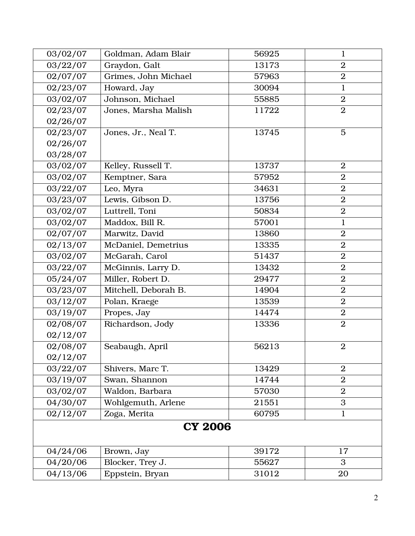| 03/02/07 | Goldman, Adam Blair  | 56925 | $\mathbf{1}$     |
|----------|----------------------|-------|------------------|
| 03/22/07 | Graydon, Galt        | 13173 | $\overline{2}$   |
| 02/07/07 | Grimes, John Michael | 57963 | $\overline{2}$   |
| 02/23/07 | Howard, Jay          | 30094 | $\mathbf{1}$     |
| 03/02/07 | Johnson, Michael     | 55885 | $\overline{2}$   |
| 02/23/07 | Jones, Marsha Malish | 11722 | $\overline{2}$   |
| 02/26/07 |                      |       |                  |
| 02/23/07 | Jones, Jr., Neal T.  | 13745 | 5                |
| 02/26/07 |                      |       |                  |
| 03/28/07 |                      |       |                  |
| 03/02/07 | Kelley, Russell T.   | 13737 | $\overline{2}$   |
| 03/02/07 | Kemptner, Sara       | 57952 | $\overline{2}$   |
| 03/22/07 | Leo, Myra            | 34631 | $\overline{2}$   |
| 03/23/07 | Lewis, Gibson D.     | 13756 | $\overline{2}$   |
| 03/02/07 | Luttrell, Toni       | 50834 | $\overline{2}$   |
| 03/02/07 | Maddox, Bill R.      | 57001 | $\mathbf{1}$     |
| 02/07/07 | Marwitz, David       | 13860 | $\overline{2}$   |
| 02/13/07 | McDaniel, Demetrius  | 13335 | $\overline{2}$   |
| 03/02/07 | McGarah, Carol       | 51437 | $\boldsymbol{2}$ |
| 03/22/07 | McGinnis, Larry D.   | 13432 | $\overline{2}$   |
| 05/24/07 | Miller, Robert D.    | 29477 | $\overline{2}$   |
| 03/23/07 | Mitchell, Deborah B. | 14904 | $\overline{2}$   |
| 03/12/07 | Polan, Kraege        | 13539 | $\overline{2}$   |
| 03/19/07 | Propes, Jay          | 14474 | $\boldsymbol{2}$ |
| 02/08/07 | Richardson, Jody     | 13336 | $\overline{2}$   |
| 02/12/07 |                      |       |                  |
| 02/08/07 | Seabaugh, April      | 56213 | $\overline{2}$   |
| 02/12/07 |                      |       |                  |
| 03/22/07 | Shivers, Marc T.     | 13429 | $\overline{2}$   |
| 03/19/07 | Swan, Shannon        | 14744 | $\overline{2}$   |
| 03/02/07 | Waldon, Barbara      | 57030 | $\overline{2}$   |
| 04/30/07 | Wohlgemuth, Arlene   | 21551 | 3                |
| 02/12/07 | Zoga, Merita         | 60795 | $\mathbf{1}$     |
|          | <b>CY 2006</b>       |       |                  |
| 04/24/06 | Brown, Jay           | 39172 | 17               |
| 04/20/06 | Blocker, Trey J.     | 55627 | 3                |
| 04/13/06 | Eppstein, Bryan      | 31012 | 20               |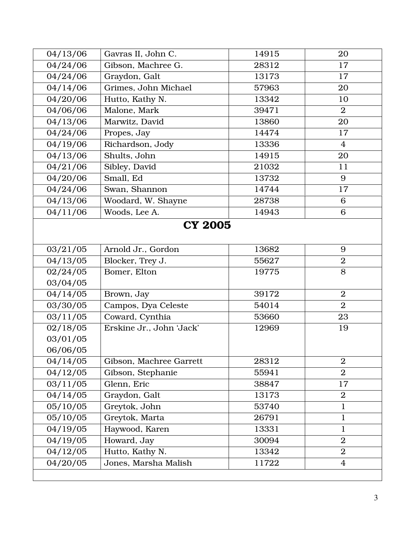| 04/13/06       | Gavras II, John C.       | 14915 | 20             |  |
|----------------|--------------------------|-------|----------------|--|
| 04/24/06       | Gibson, Machree G.       | 28312 | 17             |  |
| 04/24/06       | Graydon, Galt            | 13173 | 17             |  |
| 04/14/06       | Grimes, John Michael     | 57963 | 20             |  |
| 04/20/06       | Hutto, Kathy N.          | 13342 | 10             |  |
| 04/06/06       | Malone, Mark             | 39471 | $\overline{2}$ |  |
| 04/13/06       | Marwitz, David           | 13860 | 20             |  |
| 04/24/06       | Propes, Jay              | 14474 | 17             |  |
| 04/19/06       | Richardson, Jody         | 13336 | $\overline{4}$ |  |
| 04/13/06       | Shults, John             | 14915 | 20             |  |
| 04/21/06       | Sibley, David            | 21032 | 11             |  |
| 04/20/06       | Small, Ed                | 13732 | 9              |  |
| 04/24/06       | Swan, Shannon            | 14744 | 17             |  |
| 04/13/06       | Woodard, W. Shayne       | 28738 | 6              |  |
| 04/11/06       | Woods, Lee A.            | 14943 | 6              |  |
| <b>CY 2005</b> |                          |       |                |  |
| 03/21/05       | Arnold Jr., Gordon       | 13682 | 9              |  |
| 04/13/05       | Blocker, Trey J.         | 55627 | $\overline{2}$ |  |
| 02/24/05       | Bomer, Elton             | 19775 | 8              |  |
| 03/04/05       |                          |       |                |  |
| 04/14/05       | Brown, Jay               | 39172 | $\overline{2}$ |  |
| 03/30/05       | Campos, Dya Celeste      | 54014 | $\overline{2}$ |  |
| 03/11/05       | Coward, Cynthia          | 53660 | 23             |  |
| 02/18/05       | Erskine Jr., John 'Jack' | 12969 | 19             |  |
| 03/01/05       |                          |       |                |  |
| 06/06/05       |                          |       |                |  |
| 04/14/05       | Gibson, Machree Garrett  | 28312 | $\overline{2}$ |  |
| 04/12/05       | Gibson, Stephanie        | 55941 | $\overline{2}$ |  |
| 03/11/05       | Glenn, Eric              | 38847 | 17             |  |
| 04/14/05       | Graydon, Galt            | 13173 | $\overline{2}$ |  |
| 05/10/05       | Greytok, John            | 53740 | $\mathbf 1$    |  |
| 05/10/05       | Greytok, Marta           | 26791 | $\mathbf 1$    |  |
| 04/19/05       | Haywood, Karen           | 13331 | $\mathbf 1$    |  |
| 04/19/05       | Howard, Jay              | 30094 | $\overline{2}$ |  |
| 04/12/05       | Hutto, Kathy N.          | 13342 | $\overline{2}$ |  |
| 04/20/05       | Jones, Marsha Malish     | 11722 | 4              |  |
|                |                          |       |                |  |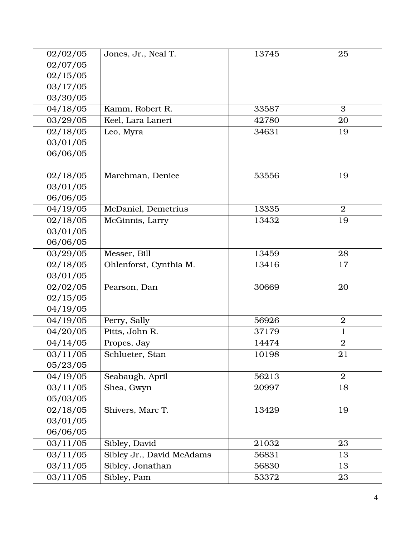| 02/02/05 | Jones, Jr., Neal T.       | 13745 | 25             |
|----------|---------------------------|-------|----------------|
| 02/07/05 |                           |       |                |
| 02/15/05 |                           |       |                |
| 03/17/05 |                           |       |                |
| 03/30/05 |                           |       |                |
| 04/18/05 | Kamm, Robert R.           | 33587 | 3              |
| 03/29/05 | Keel, Lara Laneri         | 42780 | 20             |
| 02/18/05 | Leo, Myra                 | 34631 | 19             |
| 03/01/05 |                           |       |                |
| 06/06/05 |                           |       |                |
|          |                           |       |                |
| 02/18/05 | Marchman, Denice          | 53556 | 19             |
| 03/01/05 |                           |       |                |
| 06/06/05 |                           |       |                |
| 04/19/05 | McDaniel, Demetrius       | 13335 | $\overline{2}$ |
| 02/18/05 | McGinnis, Larry           | 13432 | 19             |
| 03/01/05 |                           |       |                |
| 06/06/05 |                           |       |                |
| 03/29/05 | Messer, Bill              | 13459 | 28             |
| 02/18/05 | Ohlenforst, Cynthia M.    | 13416 | 17             |
| 03/01/05 |                           |       |                |
| 02/02/05 | Pearson, Dan              | 30669 | 20             |
| 02/15/05 |                           |       |                |
| 04/19/05 |                           |       |                |
| 04/19/05 | Perry, Sally              | 56926 | $\overline{2}$ |
| 04/20/05 | Pitts, John R.            | 37179 | $\mathbf 1$    |
| 04/14/05 | Propes, Jay               | 14474 | $\overline{2}$ |
| 03/11/05 | Schlueter, Stan           | 10198 | 21             |
| 05/23/05 |                           |       |                |
| 04/19/05 | Seabaugh, April           | 56213 | $\overline{2}$ |
| 03/11/05 | Shea, Gwyn                | 20997 | 18             |
| 05/03/05 |                           |       |                |
| 02/18/05 | Shivers, Marc T.          | 13429 | 19             |
| 03/01/05 |                           |       |                |
| 06/06/05 |                           |       |                |
| 03/11/05 | Sibley, David             | 21032 | 23             |
| 03/11/05 | Sibley Jr., David McAdams | 56831 | 13             |
| 03/11/05 | Sibley, Jonathan          | 56830 | 13             |
| 03/11/05 | Sibley, Pam               | 53372 | 23             |